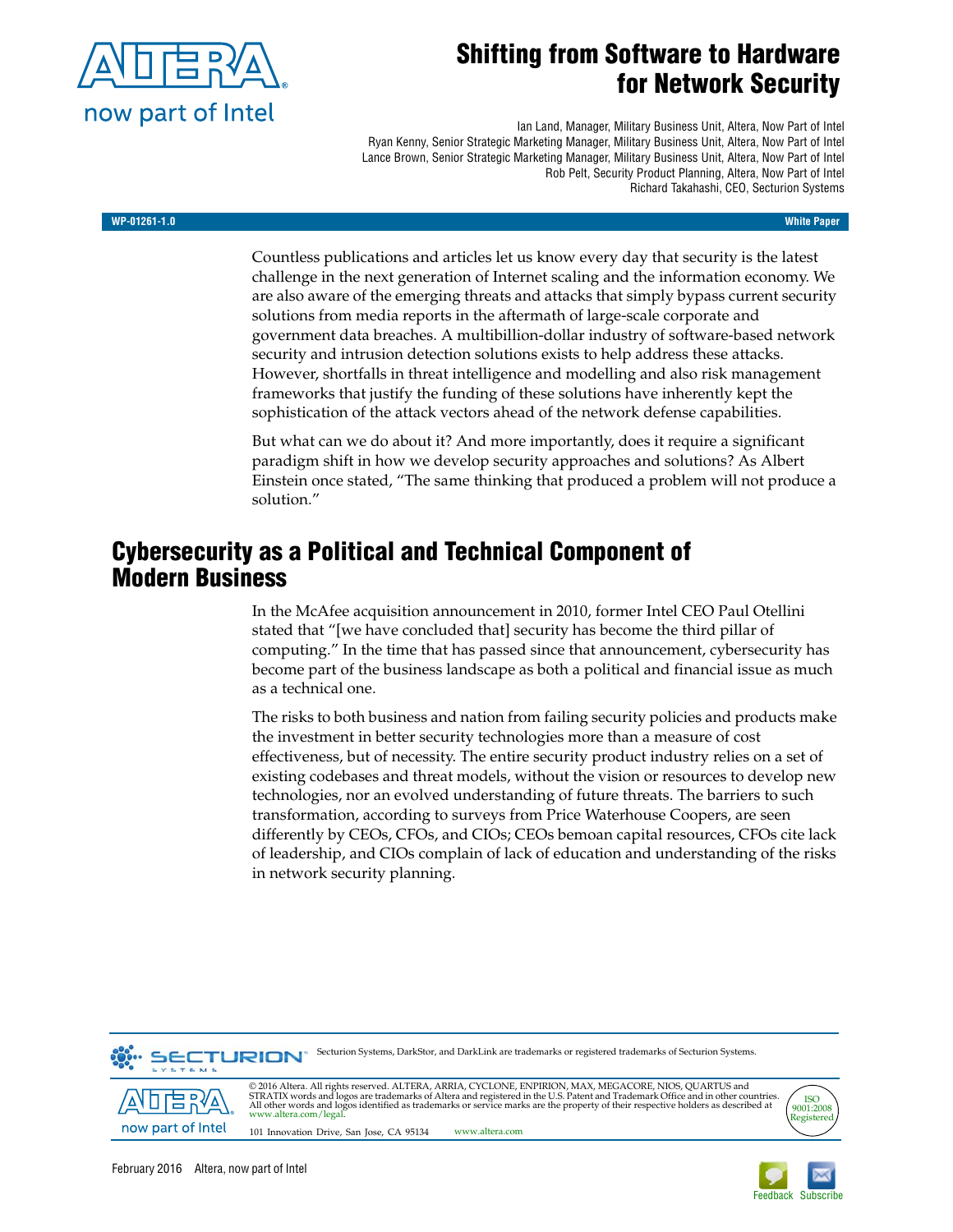

# **Shifting from Software to Hardware for Network Security**

Ian Land, Manager, Military Business Unit, Altera, Now Part of Intel Ryan Kenny, Senior Strategic Marketing Manager, Military Business Unit, Altera, Now Part of Intel Lance Brown, Senior Strategic Marketing Manager, Military Business Unit, Altera, Now Part of Intel Rob Pelt, Security Product Planning, Altera, Now Part of Intel Richard Takahashi, CEO, Secturion Systems

#### **WP-01261-1.0 White Paper**

Countless publications and articles let us know every day that security is the latest challenge in the next generation of Internet scaling and the information economy. We are also aware of the emerging threats and attacks that simply bypass current security solutions from media reports in the aftermath of large-scale corporate and government data breaches. A multibillion-dollar industry of software-based network security and intrusion detection solutions exists to help address these attacks. However, shortfalls in threat intelligence and modelling and also risk management frameworks that justify the funding of these solutions have inherently kept the sophistication of the attack vectors ahead of the network defense capabilities.

But what can we do about it? And more importantly, does it require a significant paradigm shift in how we develop security approaches and solutions? As Albert Einstein once stated, "The same thinking that produced a problem will not produce a solution."

# **Cybersecurity as a Political and Technical Component of Modern Business**

In the McAfee acquisition announcement in 2010, former Intel CEO Paul Otellini stated that "[we have concluded that] security has become the third pillar of computing." In the time that has passed since that announcement, cybersecurity has become part of the business landscape as both a political and financial issue as much as a technical one.

The risks to both business and nation from failing security policies and products make the investment in better security technologies more than a measure of cost effectiveness, but of necessity. The entire security product industry relies on a set of existing codebases and threat models, without the vision or resources to develop new technologies, nor an evolved understanding of future threats. The barriers to such transformation, according to surveys from Price Waterhouse Coopers, are seen differently by CEOs, CFOs, and CIOs; CEOs bemoan capital resources, CFOs cite lack of leadership, and CIOs complain of lack of education and understanding of the risks in network security planning.



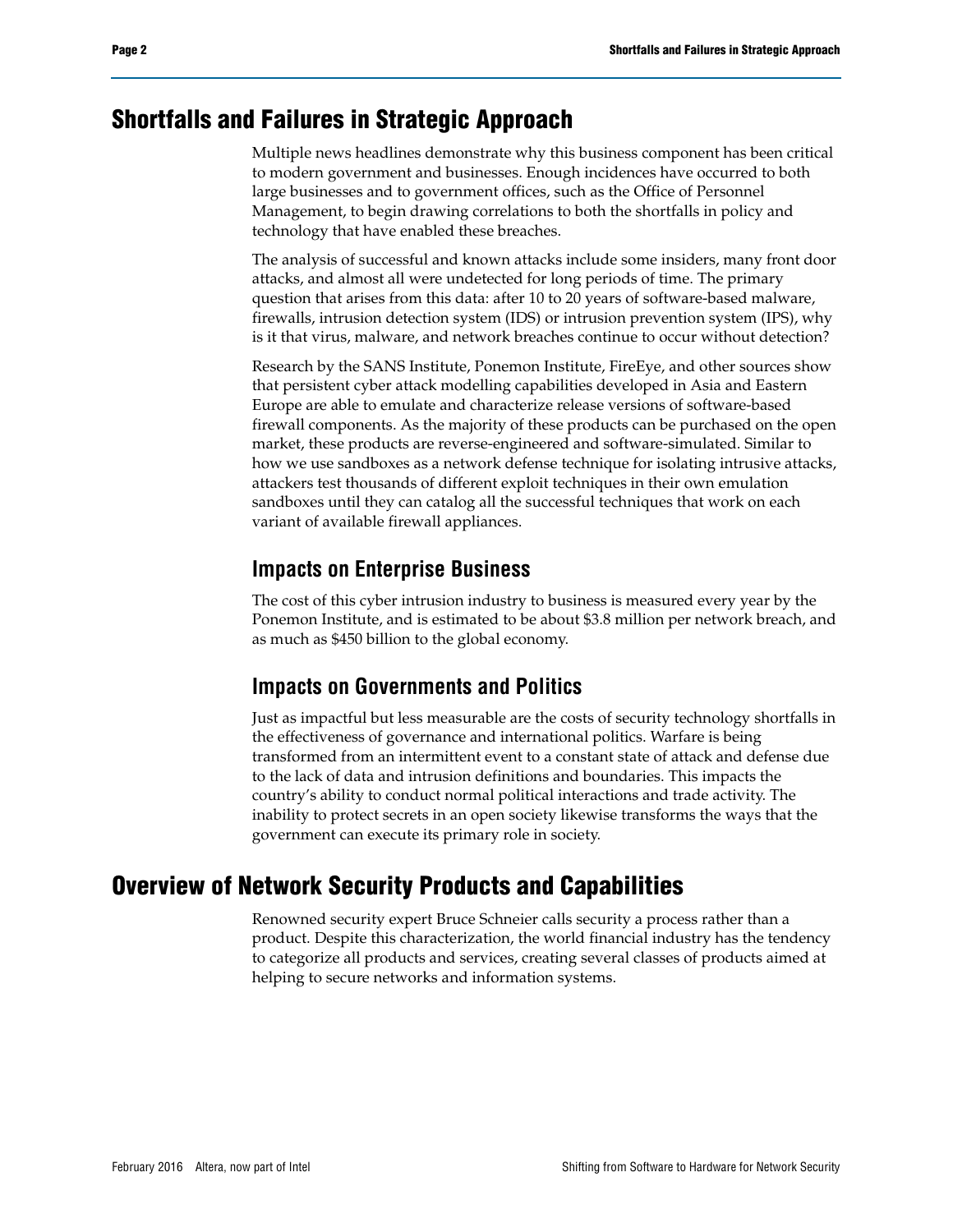## **Shortfalls and Failures in Strategic Approach**

Multiple news headlines demonstrate why this business component has been critical to modern government and businesses. Enough incidences have occurred to both large businesses and to government offices, such as the Office of Personnel Management, to begin drawing correlations to both the shortfalls in policy and technology that have enabled these breaches.

The analysis of successful and known attacks include some insiders, many front door attacks, and almost all were undetected for long periods of time. The primary question that arises from this data: after 10 to 20 years of software-based malware, firewalls, intrusion detection system (IDS) or intrusion prevention system (IPS), why is it that virus, malware, and network breaches continue to occur without detection?

Research by the SANS Institute, Ponemon Institute, FireEye, and other sources show that persistent cyber attack modelling capabilities developed in Asia and Eastern Europe are able to emulate and characterize release versions of software-based firewall components. As the majority of these products can be purchased on the open market, these products are reverse-engineered and software-simulated. Similar to how we use sandboxes as a network defense technique for isolating intrusive attacks, attackers test thousands of different exploit techniques in their own emulation sandboxes until they can catalog all the successful techniques that work on each variant of available firewall appliances.

#### **Impacts on Enterprise Business**

The cost of this cyber intrusion industry to business is measured every year by the Ponemon Institute, and is estimated to be about \$3.8 million per network breach, and as much as \$450 billion to the global economy.

#### **Impacts on Governments and Politics**

Just as impactful but less measurable are the costs of security technology shortfalls in the effectiveness of governance and international politics. Warfare is being transformed from an intermittent event to a constant state of attack and defense due to the lack of data and intrusion definitions and boundaries. This impacts the country's ability to conduct normal political interactions and trade activity. The inability to protect secrets in an open society likewise transforms the ways that the government can execute its primary role in society.

# **Overview of Network Security Products and Capabilities**

Renowned security expert Bruce Schneier calls security a process rather than a product. Despite this characterization, the world financial industry has the tendency to categorize all products and services, creating several classes of products aimed at helping to secure networks and information systems.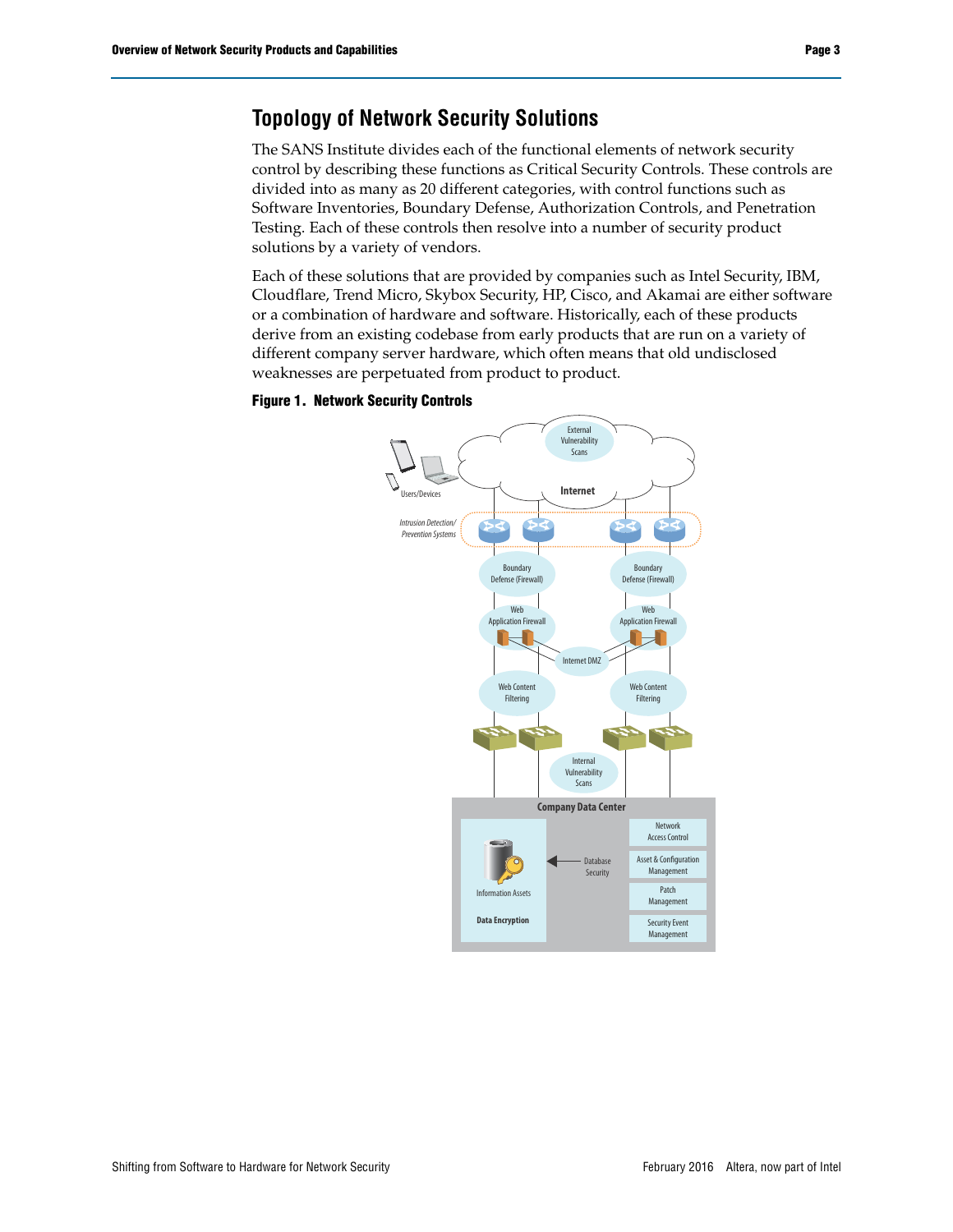## **Topology of Network Security Solutions**

The SANS Institute divides each of the functional elements of network security control by describing these functions as Critical Security Controls. These controls are divided into as many as 20 different categories, with control functions such as Software Inventories, Boundary Defense, Authorization Controls, and Penetration Testing. Each of these controls then resolve into a number of security product solutions by a variety of vendors.

Each of these solutions that are provided by companies such as Intel Security, IBM, Cloudflare, Trend Micro, Skybox Security, HP, Cisco, and Akamai are either software or a combination of hardware and software. Historically, each of these products derive from an existing codebase from early products that are run on a variety of different company server hardware, which often means that old undisclosed weaknesses are perpetuated from product to product.

#### **Figure 1. Network Security Controls**

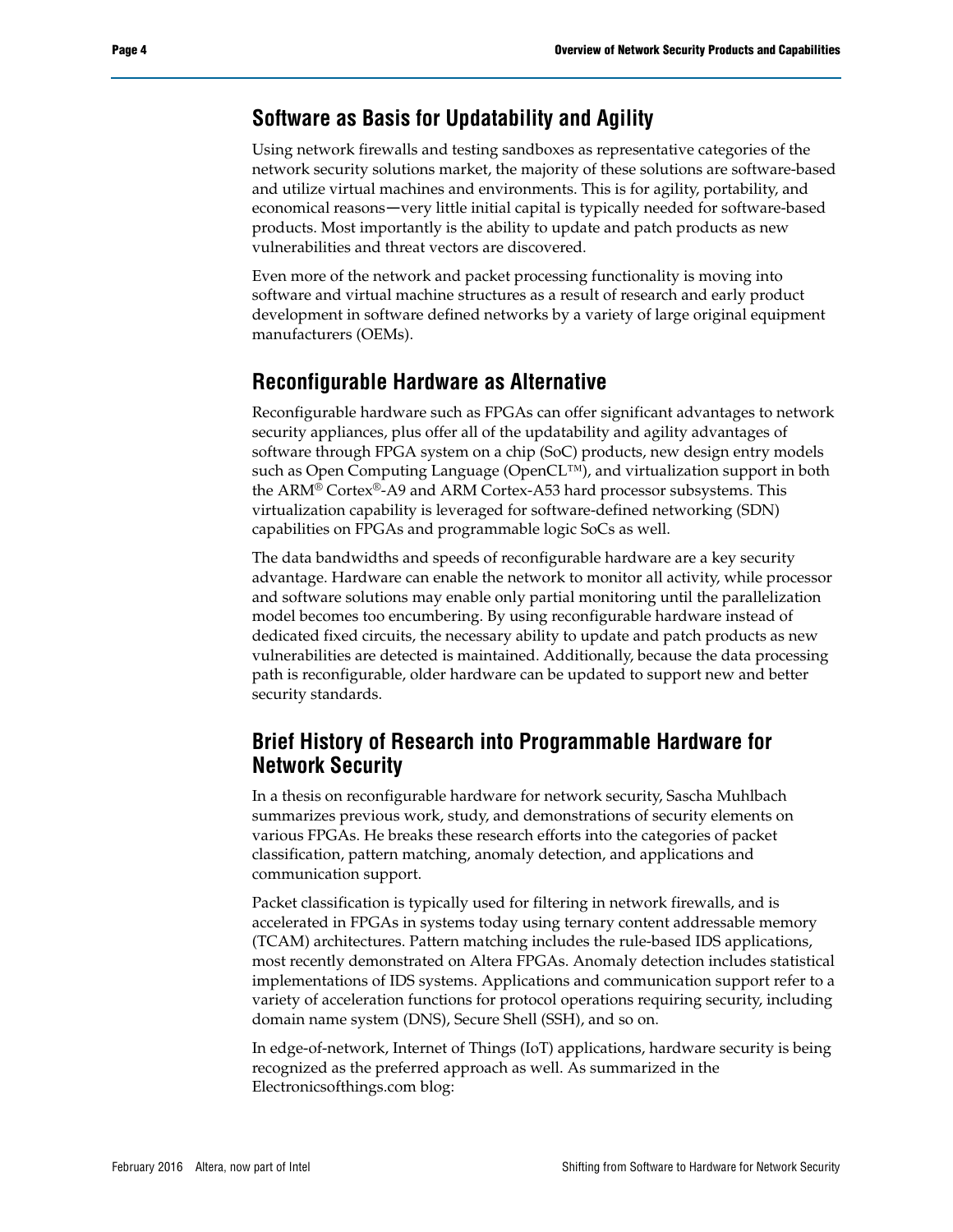### **Software as Basis for Updatability and Agility**

Using network firewalls and testing sandboxes as representative categories of the network security solutions market, the majority of these solutions are software-based and utilize virtual machines and environments. This is for agility, portability, and economical reasons—very little initial capital is typically needed for software-based products. Most importantly is the ability to update and patch products as new vulnerabilities and threat vectors are discovered.

Even more of the network and packet processing functionality is moving into software and virtual machine structures as a result of research and early product development in software defined networks by a variety of large original equipment manufacturers (OEMs).

#### **Reconfigurable Hardware as Alternative**

Reconfigurable hardware such as FPGAs can offer significant advantages to network security appliances, plus offer all of the updatability and agility advantages of software through FPGA system on a chip (SoC) products, new design entry models such as Open Computing Language (OpenCL™), and virtualization support in both the ARM® Cortex®-A9 and ARM Cortex-A53 hard processor subsystems. This virtualization capability is leveraged for software-defined networking (SDN) capabilities on FPGAs and programmable logic SoCs as well.

The data bandwidths and speeds of reconfigurable hardware are a key security advantage. Hardware can enable the network to monitor all activity, while processor and software solutions may enable only partial monitoring until the parallelization model becomes too encumbering. By using reconfigurable hardware instead of dedicated fixed circuits, the necessary ability to update and patch products as new vulnerabilities are detected is maintained. Additionally, because the data processing path is reconfigurable, older hardware can be updated to support new and better security standards.

### **Brief History of Research into Programmable Hardware for Network Security**

In a thesis on reconfigurable hardware for network security, Sascha Muhlbach summarizes previous work, study, and demonstrations of security elements on various FPGAs. He breaks these research efforts into the categories of packet classification, pattern matching, anomaly detection, and applications and communication support.

Packet classification is typically used for filtering in network firewalls, and is accelerated in FPGAs in systems today using ternary content addressable memory (TCAM) architectures. Pattern matching includes the rule-based IDS applications, most recently demonstrated on Altera FPGAs. Anomaly detection includes statistical implementations of IDS systems. Applications and communication support refer to a variety of acceleration functions for protocol operations requiring security, including domain name system (DNS), Secure Shell (SSH), and so on.

In edge-of-network, Internet of Things (IoT) applications, hardware security is being recognized as the preferred approach as well. As summarized in the Electronicsofthings.com blog: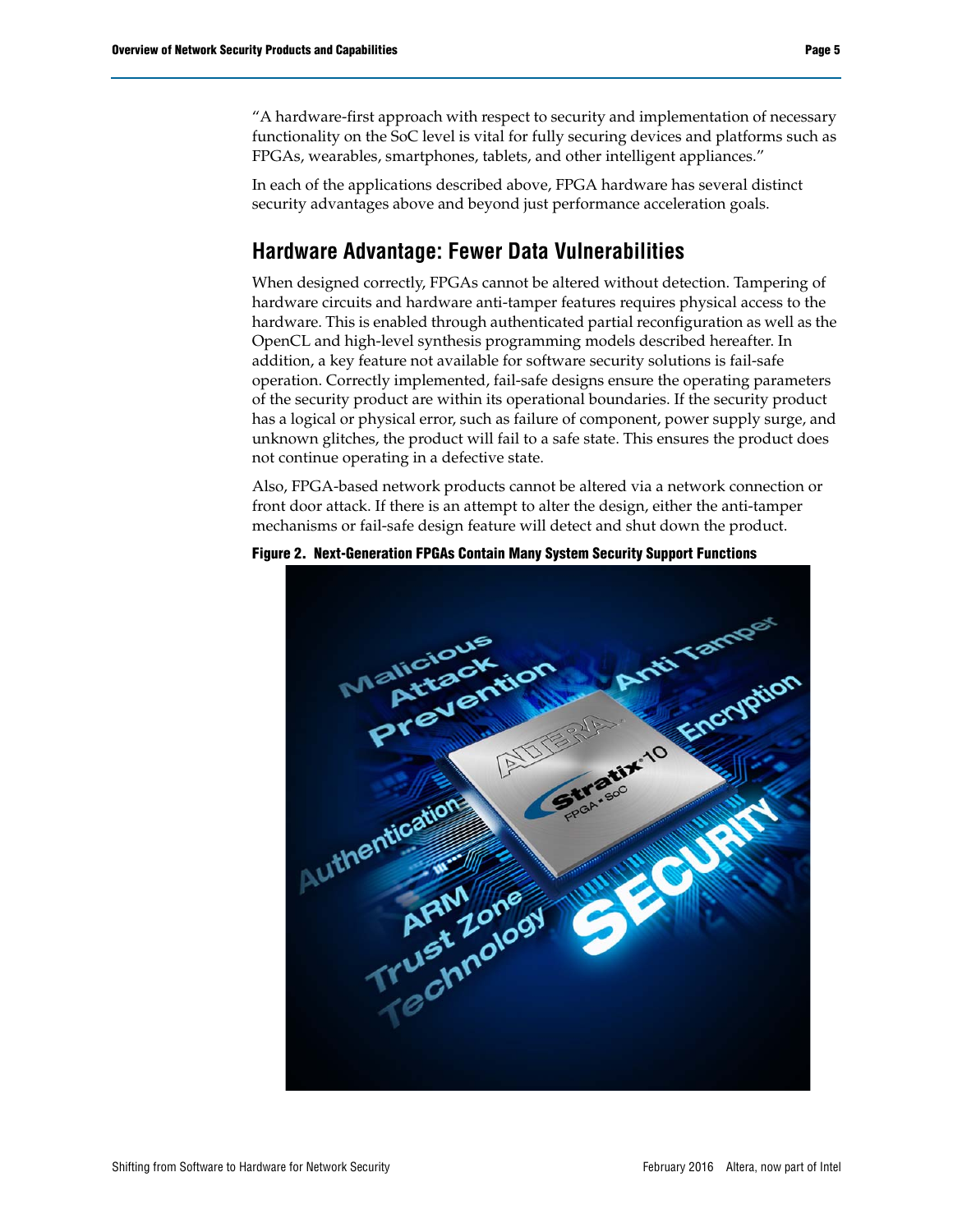"A hardware-first approach with respect to security and implementation of necessary functionality on the SoC level is vital for fully securing devices and platforms such as FPGAs, wearables, smartphones, tablets, and other intelligent appliances."

In each of the applications described above, FPGA hardware has several distinct security advantages above and beyond just performance acceleration goals.

## **Hardware Advantage: Fewer Data Vulnerabilities**

When designed correctly, FPGAs cannot be altered without detection. Tampering of hardware circuits and hardware anti-tamper features requires physical access to the hardware. This is enabled through authenticated partial reconfiguration as well as the OpenCL and high-level synthesis programming models described hereafter. In addition, a key feature not available for software security solutions is fail-safe operation. Correctly implemented, fail-safe designs ensure the operating parameters of the security product are within its operational boundaries. If the security product has a logical or physical error, such as failure of component, power supply surge, and unknown glitches, the product will fail to a safe state. This ensures the product does not continue operating in a defective state.

Also, FPGA-based network products cannot be altered via a network connection or front door attack. If there is an attempt to alter the design, either the anti-tamper mechanisms or fail-safe design feature will detect and shut down the product.



**Figure 2. Next-Generation FPGAs Contain Many System Security Support Functions**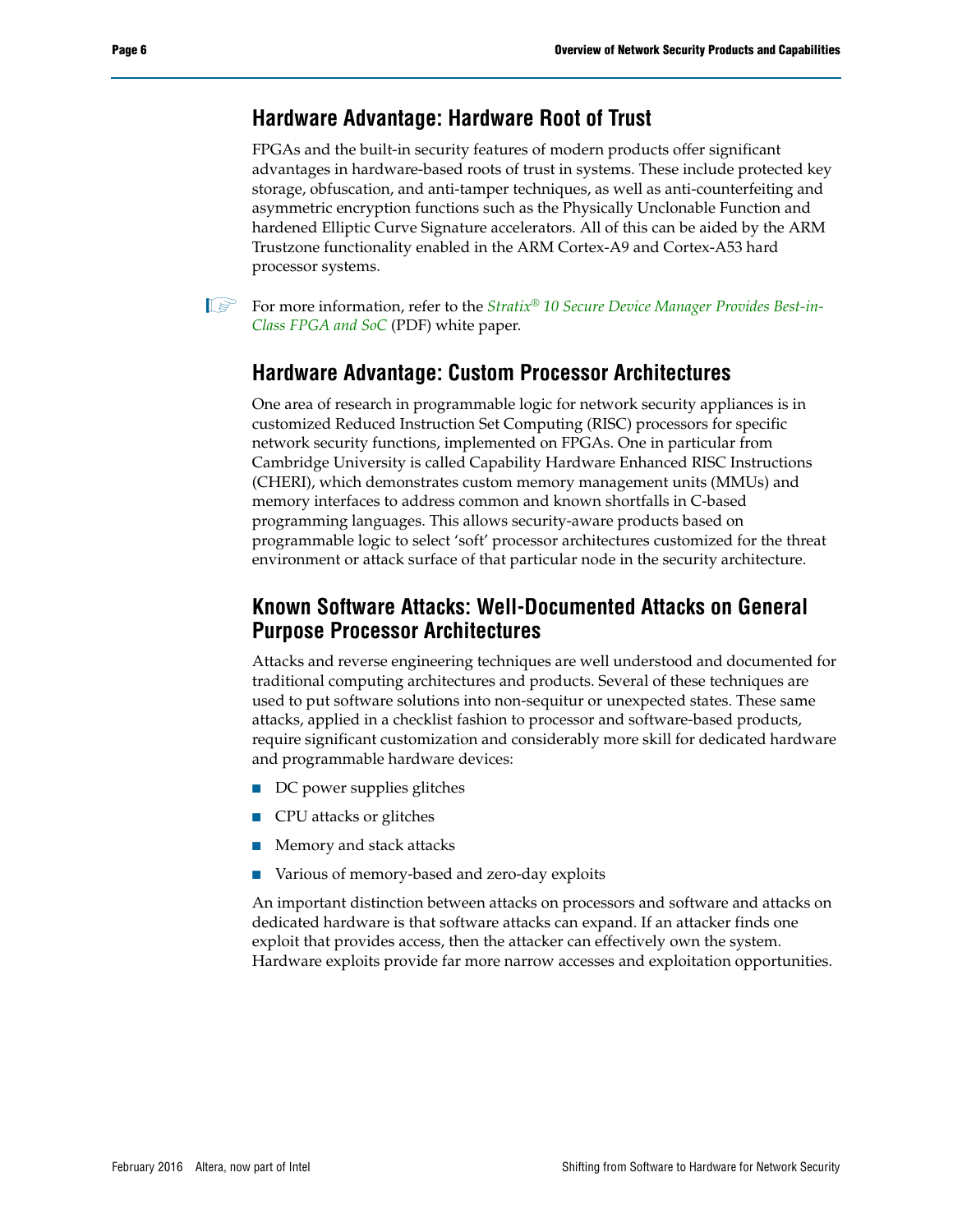#### **Hardware Advantage: Hardware Root of Trust**

FPGAs and the built-in security features of modern products offer significant advantages in hardware-based roots of trust in systems. These include protected key storage, obfuscation, and anti-tamper techniques, as well as anti-counterfeiting and asymmetric encryption functions such as the Physically Unclonable Function and hardened Elliptic Curve Signature accelerators. All of this can be aided by the ARM Trustzone functionality enabled in the ARM Cortex-A9 and Cortex-A53 hard processor systems.

1 For more information, refer to the *[Stratix](https://www.altera.com/content/dam/altera-www/global/en_US/pdfs/literature/wp/wp-01252-secure-device-manager-for-fpga-soc-security.pdf)*® *10 Secure Device Manager Provides Best-in-Class FPGA and SoC* (PDF) white paper.

### **Hardware Advantage: Custom Processor Architectures**

One area of research in programmable logic for network security appliances is in customized Reduced Instruction Set Computing (RISC) processors for specific network security functions, implemented on FPGAs. One in particular from Cambridge University is called Capability Hardware Enhanced RISC Instructions (CHERI), which demonstrates custom memory management units (MMUs) and memory interfaces to address common and known shortfalls in C-based programming languages. This allows security-aware products based on programmable logic to select 'soft' processor architectures customized for the threat environment or attack surface of that particular node in the security architecture.

### **Known Software Attacks: Well-Documented Attacks on General Purpose Processor Architectures**

Attacks and reverse engineering techniques are well understood and documented for traditional computing architectures and products. Several of these techniques are used to put software solutions into non-sequitur or unexpected states. These same attacks, applied in a checklist fashion to processor and software-based products, require significant customization and considerably more skill for dedicated hardware and programmable hardware devices:

- DC power supplies glitches
- CPU attacks or glitches
- Memory and stack attacks
- Various of memory-based and zero-day exploits

An important distinction between attacks on processors and software and attacks on dedicated hardware is that software attacks can expand. If an attacker finds one exploit that provides access, then the attacker can effectively own the system. Hardware exploits provide far more narrow accesses and exploitation opportunities.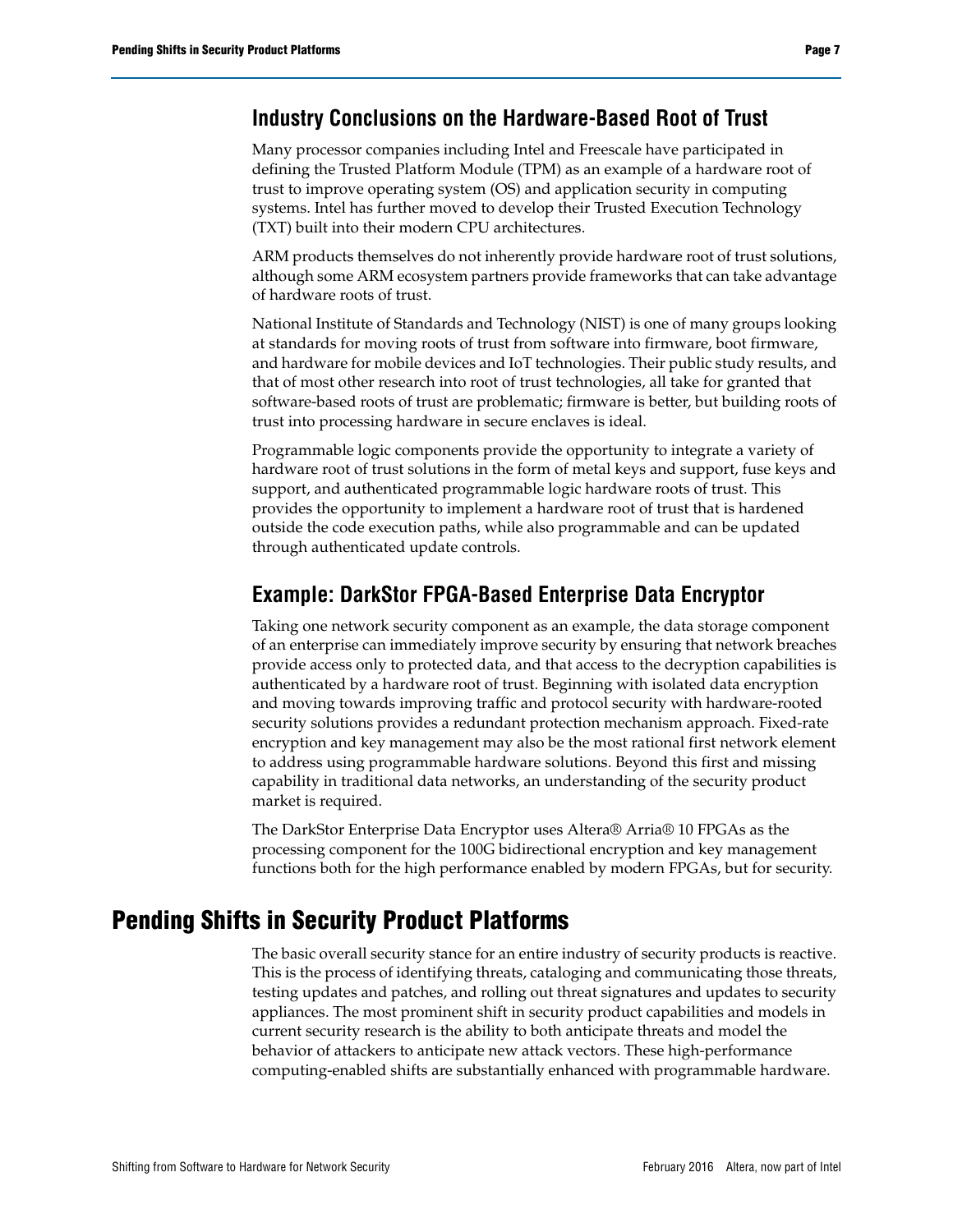#### **Industry Conclusions on the Hardware-Based Root of Trust**

Many processor companies including Intel and Freescale have participated in defining the Trusted Platform Module (TPM) as an example of a hardware root of trust to improve operating system (OS) and application security in computing systems. Intel has further moved to develop their Trusted Execution Technology (TXT) built into their modern CPU architectures.

ARM products themselves do not inherently provide hardware root of trust solutions, although some ARM ecosystem partners provide frameworks that can take advantage of hardware roots of trust.

National Institute of Standards and Technology (NIST) is one of many groups looking at standards for moving roots of trust from software into firmware, boot firmware, and hardware for mobile devices and IoT technologies. Their public study results, and that of most other research into root of trust technologies, all take for granted that software-based roots of trust are problematic; firmware is better, but building roots of trust into processing hardware in secure enclaves is ideal.

Programmable logic components provide the opportunity to integrate a variety of hardware root of trust solutions in the form of metal keys and support, fuse keys and support, and authenticated programmable logic hardware roots of trust. This provides the opportunity to implement a hardware root of trust that is hardened outside the code execution paths, while also programmable and can be updated through authenticated update controls.

### **Example: DarkStor FPGA-Based Enterprise Data Encryptor**

Taking one network security component as an example, the data storage component of an enterprise can immediately improve security by ensuring that network breaches provide access only to protected data, and that access to the decryption capabilities is authenticated by a hardware root of trust. Beginning with isolated data encryption and moving towards improving traffic and protocol security with hardware-rooted security solutions provides a redundant protection mechanism approach. Fixed-rate encryption and key management may also be the most rational first network element to address using programmable hardware solutions. Beyond this first and missing capability in traditional data networks, an understanding of the security product market is required.

The DarkStor Enterprise Data Encryptor uses Altera® Arria® 10 FPGAs as the processing component for the 100G bidirectional encryption and key management functions both for the high performance enabled by modern FPGAs, but for security.

# **Pending Shifts in Security Product Platforms**

The basic overall security stance for an entire industry of security products is reactive. This is the process of identifying threats, cataloging and communicating those threats, testing updates and patches, and rolling out threat signatures and updates to security appliances. The most prominent shift in security product capabilities and models in current security research is the ability to both anticipate threats and model the behavior of attackers to anticipate new attack vectors. These high-performance computing-enabled shifts are substantially enhanced with programmable hardware.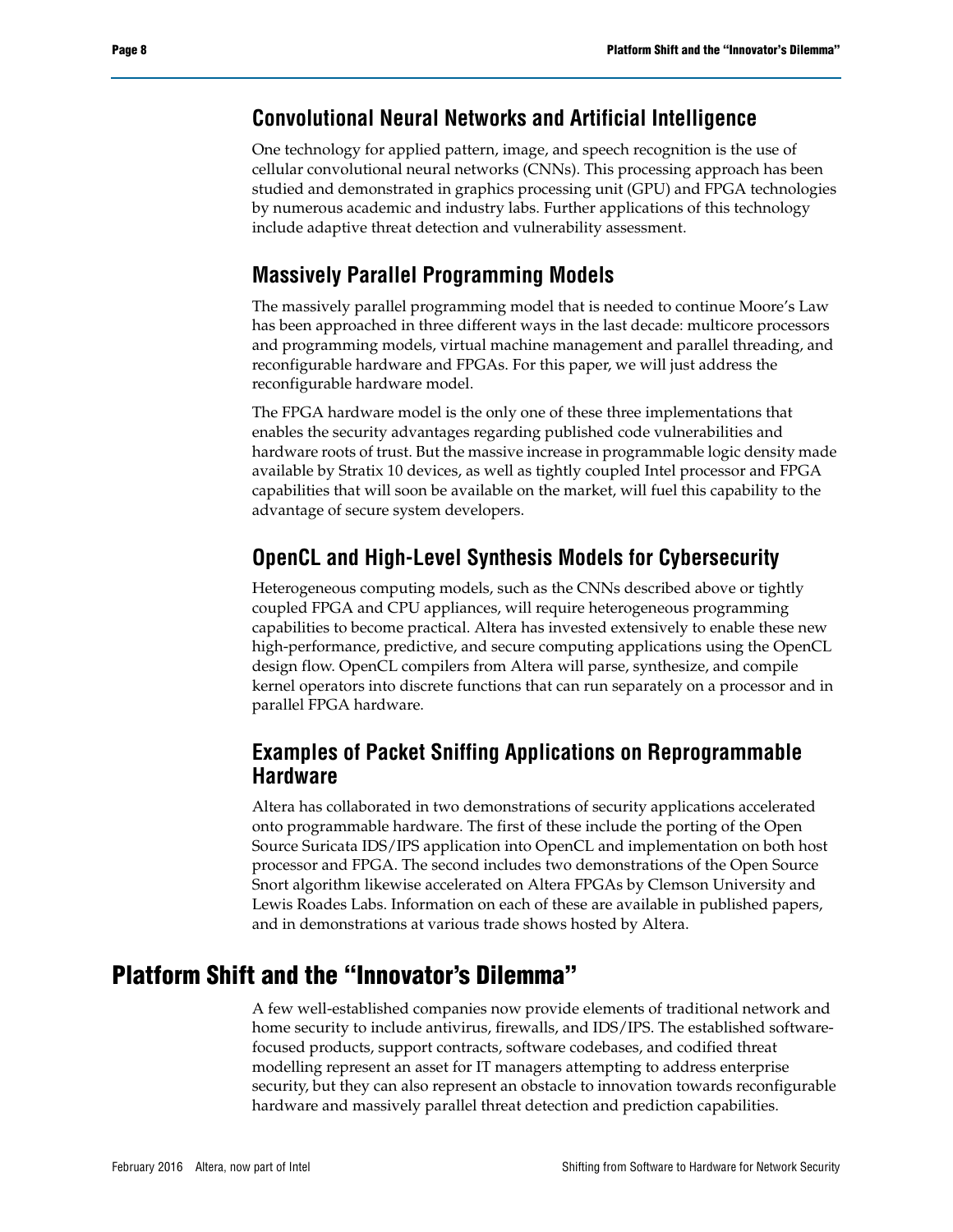### **Convolutional Neural Networks and Artificial Intelligence**

One technology for applied pattern, image, and speech recognition is the use of cellular convolutional neural networks (CNNs). This processing approach has been studied and demonstrated in graphics processing unit (GPU) and FPGA technologies by numerous academic and industry labs. Further applications of this technology include adaptive threat detection and vulnerability assessment.

### **Massively Parallel Programming Models**

The massively parallel programming model that is needed to continue Moore's Law has been approached in three different ways in the last decade: multicore processors and programming models, virtual machine management and parallel threading, and reconfigurable hardware and FPGAs. For this paper, we will just address the reconfigurable hardware model.

The FPGA hardware model is the only one of these three implementations that enables the security advantages regarding published code vulnerabilities and hardware roots of trust. But the massive increase in programmable logic density made available by Stratix 10 devices, as well as tightly coupled Intel processor and FPGA capabilities that will soon be available on the market, will fuel this capability to the advantage of secure system developers.

## **OpenCL and High-Level Synthesis Models for Cybersecurity**

Heterogeneous computing models, such as the CNNs described above or tightly coupled FPGA and CPU appliances, will require heterogeneous programming capabilities to become practical. Altera has invested extensively to enable these new high-performance, predictive, and secure computing applications using the OpenCL design flow. OpenCL compilers from Altera will parse, synthesize, and compile kernel operators into discrete functions that can run separately on a processor and in parallel FPGA hardware.

### **Examples of Packet Sniffing Applications on Reprogrammable Hardware**

Altera has collaborated in two demonstrations of security applications accelerated onto programmable hardware. The first of these include the porting of the Open Source Suricata IDS/IPS application into OpenCL and implementation on both host processor and FPGA. The second includes two demonstrations of the Open Source Snort algorithm likewise accelerated on Altera FPGAs by Clemson University and Lewis Roades Labs. Information on each of these are available in published papers, and in demonstrations at various trade shows hosted by Altera.

# **Platform Shift and the "Innovator's Dilemma"**

A few well-established companies now provide elements of traditional network and home security to include antivirus, firewalls, and IDS/IPS. The established softwarefocused products, support contracts, software codebases, and codified threat modelling represent an asset for IT managers attempting to address enterprise security, but they can also represent an obstacle to innovation towards reconfigurable hardware and massively parallel threat detection and prediction capabilities.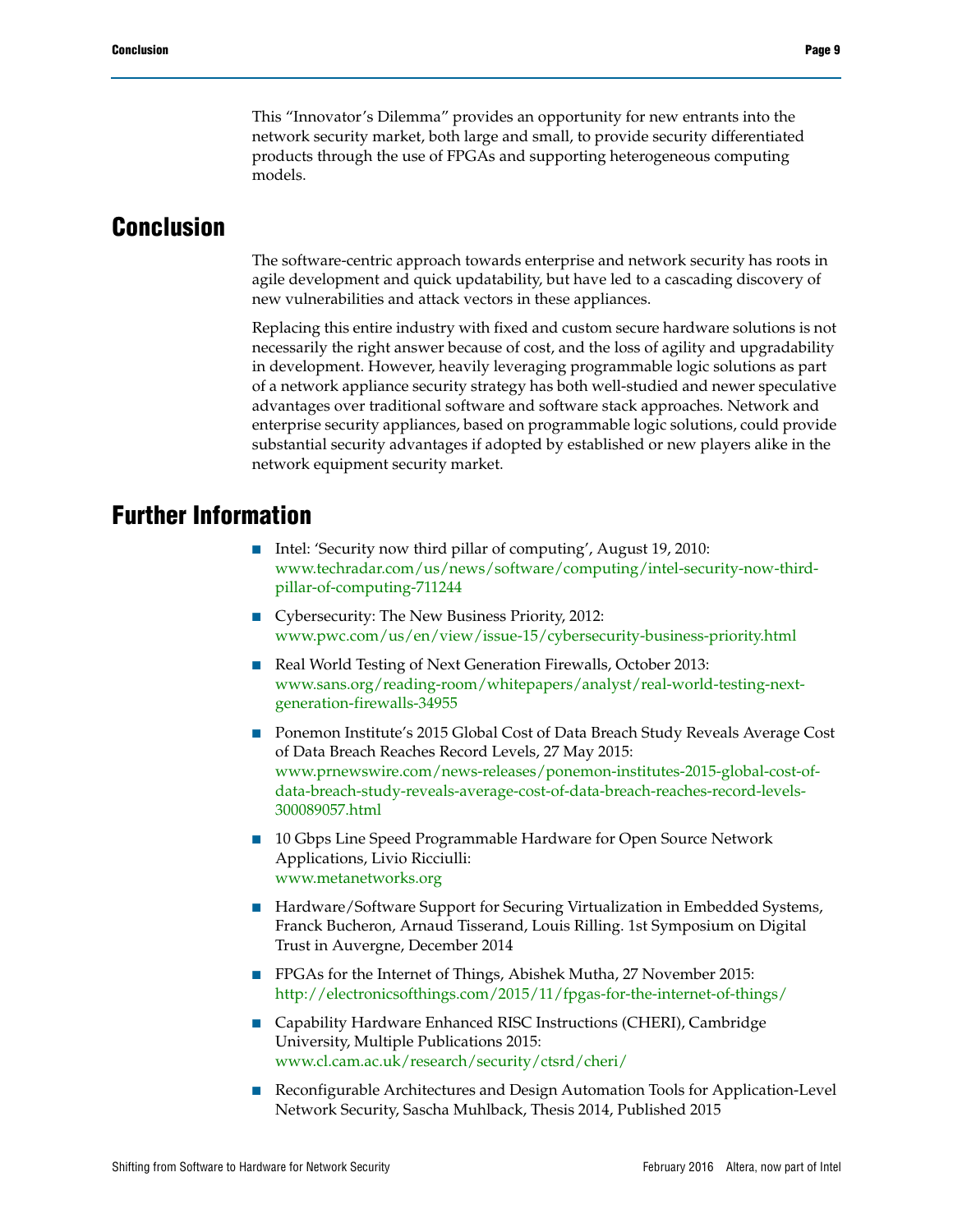This "Innovator's Dilemma" provides an opportunity for new entrants into the network security market, both large and small, to provide security differentiated products through the use of FPGAs and supporting heterogeneous computing models.

# **Conclusion**

The software-centric approach towards enterprise and network security has roots in agile development and quick updatability, but have led to a cascading discovery of new vulnerabilities and attack vectors in these appliances.

Replacing this entire industry with fixed and custom secure hardware solutions is not necessarily the right answer because of cost, and the loss of agility and upgradability in development. However, heavily leveraging programmable logic solutions as part of a network appliance security strategy has both well-studied and newer speculative advantages over traditional software and software stack approaches. Network and enterprise security appliances, based on programmable logic solutions, could provide substantial security advantages if adopted by established or new players alike in the network equipment security market.

## **Further Information**

- Intel: 'Security now third pillar of computing', August 19, 2010: [www.techradar.com/us/news/software/computing/intel-security-now-third](http://www.techradar.com/us/news/software/computing/intel-security-now-third-pillar-of-computing-711244)pillar-of-computing-711244
- Cybersecurity: The New Business Priority, 2012: [www.pwc.com/us/en/view/issue-15/cybersecurity-business-priority.html](http://www.pwc.com/us/en/view/issue-15/cybersecurity-business-priority.html)
- Real World Testing of Next Generation Firewalls, October 2013: [www.sans.org/reading-room/whitepapers/analyst/real-world-testing-next](https://www.sans.org/reading-room/whitepapers/analyst/real-world-testing-next-generation-firewalls-34955)generation-firewalls-34955
- Ponemon Institute's 2015 Global Cost of Data Breach Study Reveals Average Cost of Data Breach Reaches Record Levels, 27 May 2015: [www.prnewswire.com/news-releases/ponemon-institutes-2015-global-cost-of](http://www.prnewswire.com/news-releases/ponemon-institutes-2015-global-cost-of-data-breach-study-reveals-average-cost-of-data-breach-reaches-record-levels-300089057.html)data-breach-study-reveals-average-cost-of-data-breach-reaches-record-levels-300089057.html
- 10 Gbps Line Speed Programmable Hardware for Open Source Network Applications, Livio Ricciulli: [www.metanetworks.org](http://www.metanetworks.org)
- Hardware/Software Support for Securing Virtualization in Embedded Systems, Franck Bucheron, Arnaud Tisserand, Louis Rilling. 1st Symposium on Digital Trust in Auvergne, December 2014
- FPGAs for the Internet of Things, Abishek Mutha, 27 November 2015: <http://electronicsofthings.com/2015/11/fpgas-for-the-internet-of-things/>
- Capability Hardware Enhanced RISC Instructions (CHERI), Cambridge University, Multiple Publications 2015: [www.cl.cam.ac.uk/research/security/ctsrd/cheri/](http://www.cl.cam.ac.uk/research/security/ctsrd/cheri/)
- Reconfigurable Architectures and Design Automation Tools for Application-Level Network Security, Sascha Muhlback, Thesis 2014, Published 2015